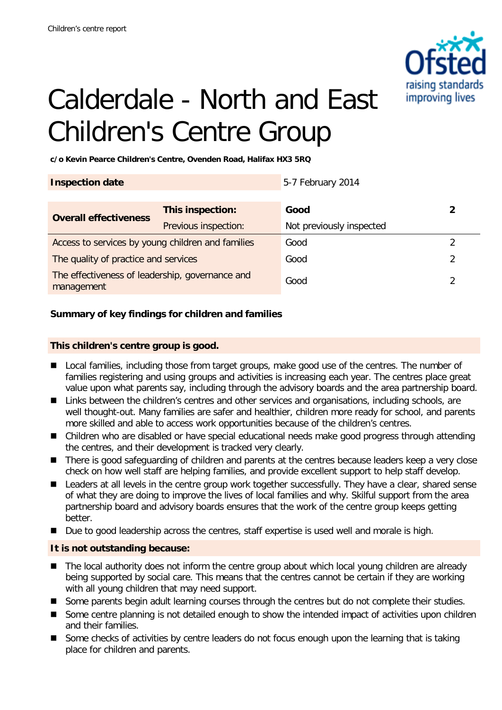

# Calderdale - North and East Children's Centre Group

**c/o Kevin Pearce Children's Centre, Ovenden Road, Halifax HX3 5RQ**

|                                                   | 5-7 February 2014        |               |
|---------------------------------------------------|--------------------------|---------------|
|                                                   |                          |               |
| This inspection:                                  | Good                     |               |
| Previous inspection:                              | Not previously inspected |               |
| Access to services by young children and families | Good                     | $\mathcal{P}$ |
| The quality of practice and services              | Good                     | 2             |
| The effectiveness of leadership, governance and   | Good                     |               |
|                                                   |                          |               |

## **Summary of key findings for children and families**

#### **This children's centre group is good.**

- Local families, including those from target groups, make good use of the centres. The number of families registering and using groups and activities is increasing each year. The centres place great value upon what parents say, including through the advisory boards and the area partnership board.
- Links between the children's centres and other services and organisations, including schools, are well thought-out. Many families are safer and healthier, children more ready for school, and parents more skilled and able to access work opportunities because of the children's centres.
- Children who are disabled or have special educational needs make good progress through attending the centres, and their development is tracked very clearly.
- There is good safeguarding of children and parents at the centres because leaders keep a very close check on how well staff are helping families, and provide excellent support to help staff develop.
- Leaders at all levels in the centre group work together successfully. They have a clear, shared sense of what they are doing to improve the lives of local families and why. Skilful support from the area partnership board and advisory boards ensures that the work of the centre group keeps getting better.
- Due to good leadership across the centres, staff expertise is used well and morale is high.

## **It is not outstanding because:**

- The local authority does not inform the centre group about which local young children are already being supported by social care. This means that the centres cannot be certain if they are working with all young children that may need support.
- Some parents begin adult learning courses through the centres but do not complete their studies.
- Some centre planning is not detailed enough to show the intended impact of activities upon children and their families.
- Some checks of activities by centre leaders do not focus enough upon the learning that is taking place for children and parents.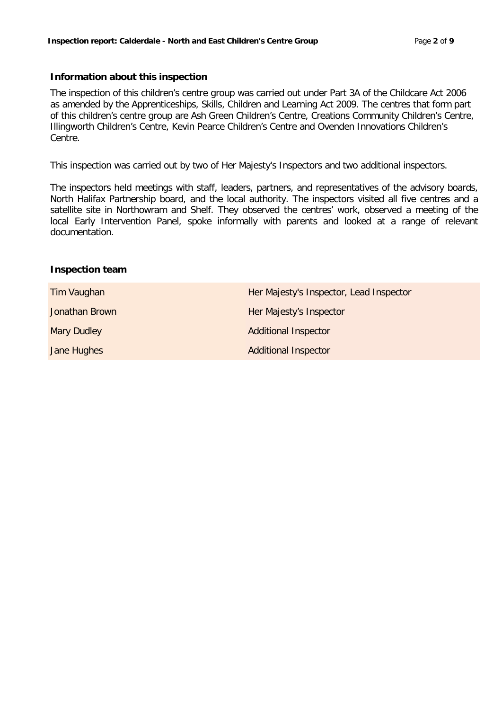#### **Information about this inspection**

The inspection of this children's centre group was carried out under Part 3A of the Childcare Act 2006 as amended by the Apprenticeships, Skills, Children and Learning Act 2009. The centres that form part of this children's centre group are Ash Green Children's Centre, Creations Community Children's Centre, Illingworth Children's Centre, Kevin Pearce Children's Centre and Ovenden Innovations Children's Centre.

This inspection was carried out by two of Her Majesty's Inspectors and two additional inspectors.

The inspectors held meetings with staff, leaders, partners, and representatives of the advisory boards, North Halifax Partnership board, and the local authority. The inspectors visited all five centres and a satellite site in Northowram and Shelf. They observed the centres' work, observed a meeting of the local Early Intervention Panel, spoke informally with parents and looked at a range of relevant documentation.

#### **Inspection team**

| Tim Vaughan        | Her Majesty's Inspector, Lead Inspector |
|--------------------|-----------------------------------------|
| Jonathan Brown     | Her Majesty's Inspector                 |
| <b>Mary Dudley</b> | <b>Additional Inspector</b>             |
| Jane Hughes        | <b>Additional Inspector</b>             |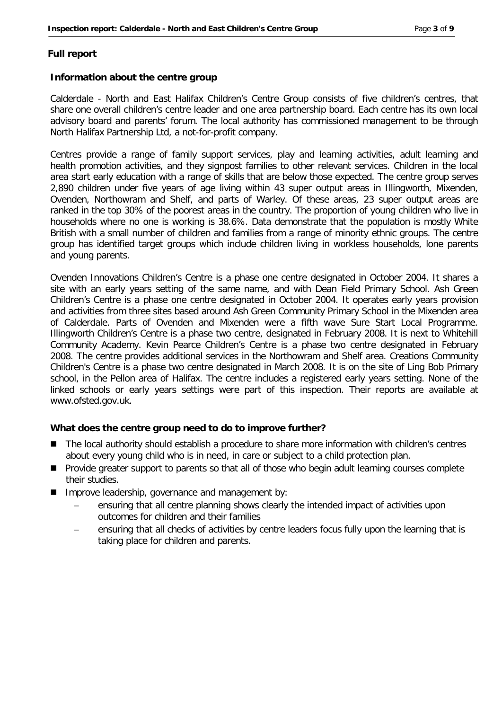#### **Full report**

#### **Information about the centre group**

Calderdale - North and East Halifax Children's Centre Group consists of five children's centres, that share one overall children's centre leader and one area partnership board. Each centre has its own local advisory board and parents' forum. The local authority has commissioned management to be through North Halifax Partnership Ltd, a not-for-profit company.

Centres provide a range of family support services, play and learning activities, adult learning and health promotion activities, and they signpost families to other relevant services. Children in the local area start early education with a range of skills that are below those expected. The centre group serves 2,890 children under five years of age living within 43 super output areas in Illingworth, Mixenden, Ovenden, Northowram and Shelf, and parts of Warley. Of these areas, 23 super output areas are ranked in the top 30% of the poorest areas in the country. The proportion of young children who live in households where no one is working is 38.6%. Data demonstrate that the population is mostly White British with a small number of children and families from a range of minority ethnic groups. The centre group has identified target groups which include children living in workless households, lone parents and young parents.

Ovenden Innovations Children's Centre is a phase one centre designated in October 2004. It shares a site with an early years setting of the same name, and with Dean Field Primary School. Ash Green Children's Centre is a phase one centre designated in October 2004. It operates early years provision and activities from three sites based around Ash Green Community Primary School in the Mixenden area of Calderdale. Parts of Ovenden and Mixenden were a fifth wave Sure Start Local Programme. Illingworth Children's Centre is a phase two centre, designated in February 2008. It is next to Whitehill Community Academy. Kevin Pearce Children's Centre is a phase two centre designated in February 2008. The centre provides additional services in the Northowram and Shelf area. Creations Community Children's Centre is a phase two centre designated in March 2008. It is on the site of Ling Bob Primary school, in the Pellon area of Halifax. The centre includes a registered early years setting. None of the linked schools or early years settings were part of this inspection. Their reports are available at www.ofsted.gov.uk.

#### **What does the centre group need to do to improve further?**

- The local authority should establish a procedure to share more information with children's centres about every young child who is in need, in care or subject to a child protection plan.
- **Provide greater support to parents so that all of those who begin adult learning courses complete** their studies.
- Improve leadership, governance and management by:
	- ensuring that all centre planning shows clearly the intended impact of activities upon outcomes for children and their families
	- ensuring that all checks of activities by centre leaders focus fully upon the learning that is taking place for children and parents.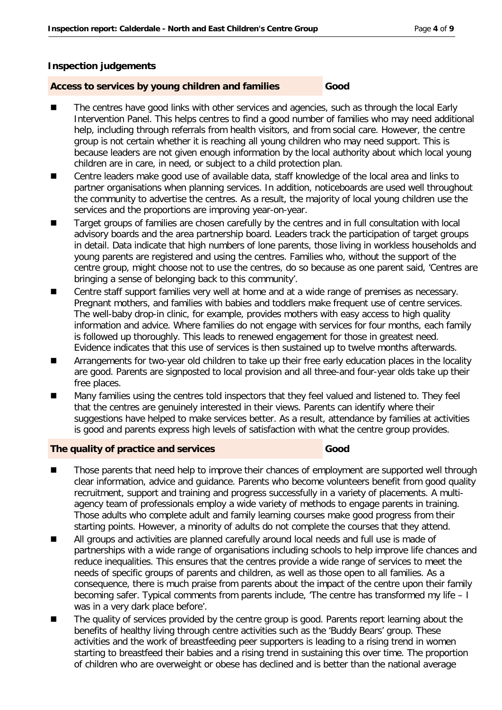#### **Inspection judgements**

#### **Access to services by young children and families Good**

#### The centres have good links with other services and agencies, such as through the local Early Intervention Panel. This helps centres to find a good number of families who may need additional help, including through referrals from health visitors, and from social care. However, the centre group is not certain whether it is reaching all young children who may need support. This is because leaders are not given enough information by the local authority about which local young children are in care, in need, or subject to a child protection plan.

- Centre leaders make good use of available data, staff knowledge of the local area and links to partner organisations when planning services. In addition, noticeboards are used well throughout the community to advertise the centres. As a result, the majority of local young children use the services and the proportions are improving year-on-year.
- Target groups of families are chosen carefully by the centres and in full consultation with local advisory boards and the area partnership board. Leaders track the participation of target groups in detail. Data indicate that high numbers of lone parents, those living in workless households and young parents are registered and using the centres. Families who, without the support of the centre group, might choose not to use the centres, do so because as one parent said, 'Centres are bringing a sense of belonging back to this community'.
- Centre staff support families very well at home and at a wide range of premises as necessary. Pregnant mothers, and families with babies and toddlers make frequent use of centre services. The well-baby drop-in clinic, for example, provides mothers with easy access to high quality information and advice. Where families do not engage with services for four months, each family is followed up thoroughly. This leads to renewed engagement for those in greatest need. Evidence indicates that this use of services is then sustained up to twelve months afterwards.
- Arrangements for two-year old children to take up their free early education places in the locality are good. Parents are signposted to local provision and all three-and four-year olds take up their free places.
- Many families using the centres told inspectors that they feel valued and listened to. They feel that the centres are genuinely interested in their views. Parents can identify where their suggestions have helped to make services better. As a result, attendance by families at activities is good and parents express high levels of satisfaction with what the centre group provides.

#### **The quality of practice and services Good**

- Those parents that need help to improve their chances of employment are supported well through clear information, advice and guidance. Parents who become volunteers benefit from good quality recruitment, support and training and progress successfully in a variety of placements. A multiagency team of professionals employ a wide variety of methods to engage parents in training. Those adults who complete adult and family learning courses make good progress from their starting points. However, a minority of adults do not complete the courses that they attend.
- All groups and activities are planned carefully around local needs and full use is made of partnerships with a wide range of organisations including schools to help improve life chances and reduce inequalities. This ensures that the centres provide a wide range of services to meet the needs of specific groups of parents and children, as well as those open to all families. As a consequence, there is much praise from parents about the impact of the centre upon their family becoming safer. Typical comments from parents include, 'The centre has transformed my life – I was in a very dark place before'.
- The quality of services provided by the centre group is good. Parents report learning about the benefits of healthy living through centre activities such as the 'Buddy Bears' group. These activities and the work of breastfeeding peer supporters is leading to a rising trend in women starting to breastfeed their babies and a rising trend in sustaining this over time. The proportion of children who are overweight or obese has declined and is better than the national average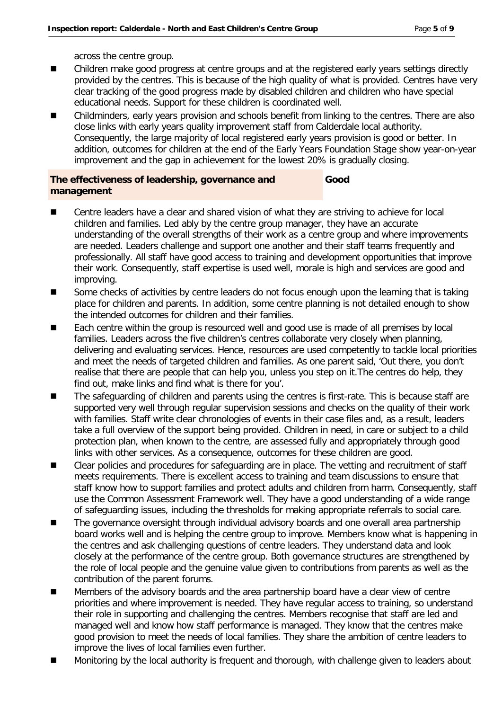across the centre group.

- Children make good progress at centre groups and at the registered early years settings directly provided by the centres. This is because of the high quality of what is provided. Centres have very clear tracking of the good progress made by disabled children and children who have special educational needs. Support for these children is coordinated well.
- Childminders, early years provision and schools benefit from linking to the centres. There are also close links with early years quality improvement staff from Calderdale local authority. Consequently, the large majority of local registered early years provision is good or better. In addition, outcomes for children at the end of the Early Years Foundation Stage show year-on-year improvement and the gap in achievement for the lowest 20% is gradually closing.

**Good**

## **The effectiveness of leadership, governance and management**

- Centre leaders have a clear and shared vision of what they are striving to achieve for local children and families. Led ably by the centre group manager, they have an accurate understanding of the overall strengths of their work as a centre group and where improvements are needed. Leaders challenge and support one another and their staff teams frequently and professionally. All staff have good access to training and development opportunities that improve their work. Consequently, staff expertise is used well, morale is high and services are good and improving.
- Some checks of activities by centre leaders do not focus enough upon the learning that is taking place for children and parents. In addition, some centre planning is not detailed enough to show the intended outcomes for children and their families.
- Each centre within the group is resourced well and good use is made of all premises by local families. Leaders across the five children's centres collaborate very closely when planning, delivering and evaluating services. Hence, resources are used competently to tackle local priorities and meet the needs of targeted children and families. As one parent said, 'Out there, you don't realise that there are people that can help you, unless you step on it.The centres do help, they find out, make links and find what is there for you'.
- The safeguarding of children and parents using the centres is first-rate. This is because staff are supported very well through regular supervision sessions and checks on the quality of their work with families. Staff write clear chronologies of events in their case files and, as a result, leaders take a full overview of the support being provided. Children in need, in care or subject to a child protection plan, when known to the centre, are assessed fully and appropriately through good links with other services. As a consequence, outcomes for these children are good.
- Clear policies and procedures for safeguarding are in place. The vetting and recruitment of staff meets requirements. There is excellent access to training and team discussions to ensure that staff know how to support families and protect adults and children from harm. Consequently, staff use the Common Assessment Framework well. They have a good understanding of a wide range of safeguarding issues, including the thresholds for making appropriate referrals to social care.
- The governance oversight through individual advisory boards and one overall area partnership board works well and is helping the centre group to improve. Members know what is happening in the centres and ask challenging questions of centre leaders. They understand data and look closely at the performance of the centre group. Both governance structures are strengthened by the role of local people and the genuine value given to contributions from parents as well as the contribution of the parent forums.
- Members of the advisory boards and the area partnership board have a clear view of centre priorities and where improvement is needed. They have regular access to training, so understand their role in supporting and challenging the centres. Members recognise that staff are led and managed well and know how staff performance is managed. They know that the centres make good provision to meet the needs of local families. They share the ambition of centre leaders to improve the lives of local families even further.
- Monitoring by the local authority is frequent and thorough, with challenge given to leaders about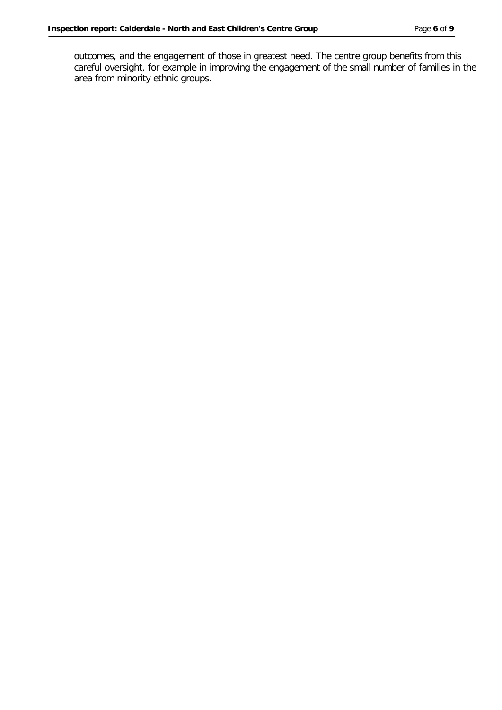outcomes, and the engagement of those in greatest need. The centre group benefits from this careful oversight, for example in improving the engagement of the small number of families in the area from minority ethnic groups.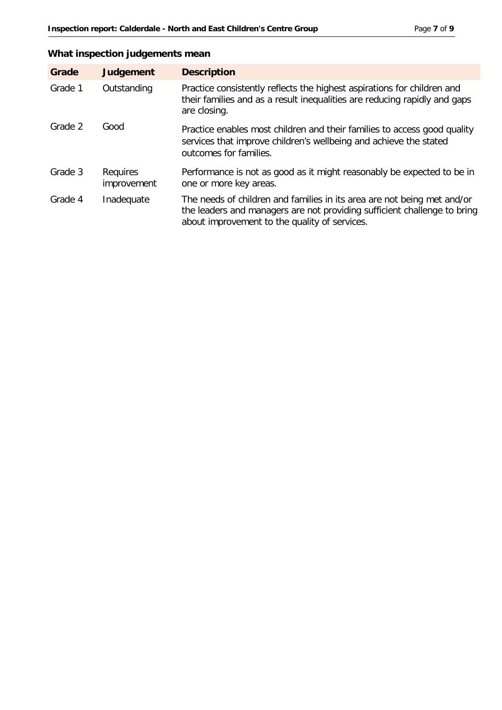## **What inspection judgements mean**

| Grade   | <b>Judgement</b>        | <b>Description</b>                                                                                                                                                                                   |
|---------|-------------------------|------------------------------------------------------------------------------------------------------------------------------------------------------------------------------------------------------|
| Grade 1 | Outstanding             | Practice consistently reflects the highest aspirations for children and<br>their families and as a result inequalities are reducing rapidly and gaps<br>are closing.                                 |
| Grade 2 | Good                    | Practice enables most children and their families to access good quality<br>services that improve children's wellbeing and achieve the stated<br>outcomes for families.                              |
| Grade 3 | Requires<br>improvement | Performance is not as good as it might reasonably be expected to be in<br>one or more key areas.                                                                                                     |
| Grade 4 | Inadequate              | The needs of children and families in its area are not being met and/or<br>the leaders and managers are not providing sufficient challenge to bring<br>about improvement to the quality of services. |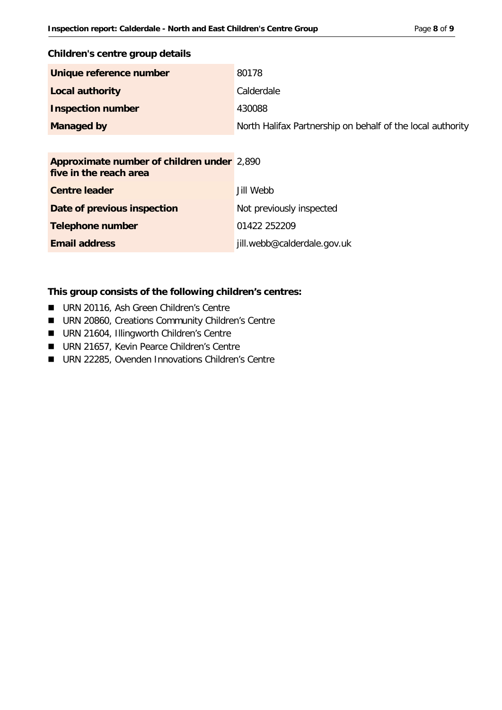#### **Children's centre group details**

| Unique reference number  | 80178                                                      |
|--------------------------|------------------------------------------------------------|
| <b>Local authority</b>   | Calderdale                                                 |
| <b>Inspection number</b> | 430088                                                     |
| <b>Managed by</b>        | North Halifax Partnership on behalf of the local authority |

| <b>Approximate number of children under</b> 2,890<br>five in the reach area |                             |
|-----------------------------------------------------------------------------|-----------------------------|
| <b>Centre leader</b>                                                        | Jill Webb                   |
| Date of previous inspection                                                 | Not previously inspected    |
| <b>Telephone number</b>                                                     | 01422 252209                |
| <b>Email address</b>                                                        | jill.webb@calderdale.gov.uk |

#### **This group consists of the following children's centres:**

- **URN 20116, Ash Green Children's Centre**
- **URN 20860, Creations Community Children's Centre**
- **URN 21604, Illingworth Children's Centre**
- URN 21657, Kevin Pearce Children's Centre
- URN 22285, Ovenden Innovations Children's Centre